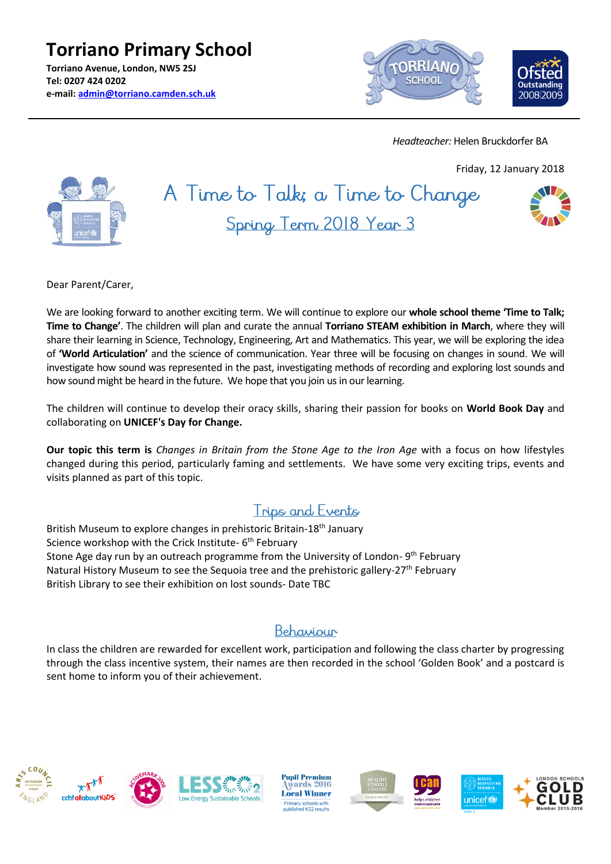**Torriano Primary School Torriano Avenue, London, NW5 2SJ Tel: 0207 424 0202 e-mail: [admin@torriano.camden.sch.uk](mailto:admin@torriano.camden.sch.uk)**



 *Headteacher:* Helen Bruckdorfer BA

Friday, 12 January 2018



A Time to Talk; a Time to Change Spring Term 2018 Year 3



Dear Parent/Carer,

We are looking forward to another exciting term. We will continue to explore our **whole school theme 'Time to Talk; Time to Change'**. The children will plan and curate the annual **Torriano STEAM exhibition in March**, where they will share their learning in Science, Technology, Engineering, Art and Mathematics. This year, we will be exploring the idea of **'World Articulation'** and the science of communication. Year three will be focusing on changes in sound. We will investigate how sound was represented in the past, investigating methods of recording and exploring lost sounds and how sound might be heard in the future. We hope that you join us in our learning.

The children will continue to develop their oracy skills, sharing their passion for books on **World Book Day** and collaborating on **UNICEF's Day for Change.**

**Our topic this term is** *Changes in Britain from the Stone Age to the Iron Age* with a focus on how lifestyles changed during this period, particularly faming and settlements. We have some very exciting trips, events and visits planned as part of this topic.

### **Trips and Events**

British Museum to explore changes in prehistoric Britain-18th January Science workshop with the Crick Institute- 6<sup>th</sup> February Stone Age day run by an outreach programme from the University of London-9<sup>th</sup> February Natural History Museum to see the Sequoia tree and the prehistoric gallery-27<sup>th</sup> February British Library to see their exhibition on lost sounds- Date TBC

### Behaviour

In class the children are rewarded for excellent work, participation and following the class charter by progressing through the class incentive system, their names are then recorded in the school 'Golden Book' and a postcard is sent home to inform you of their achievement.









**Pupil Premium** wards 2016 **Local Winner** ry schools with<br>hed KS2 results







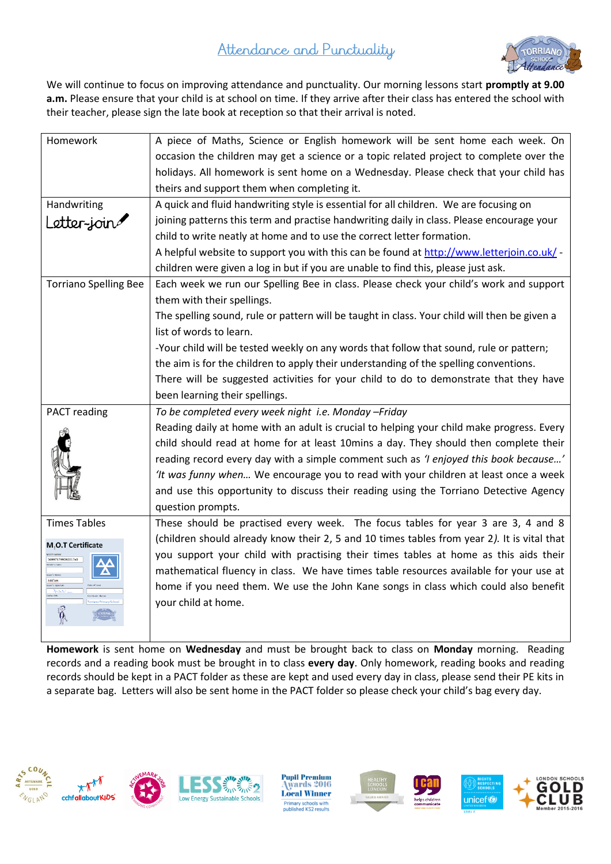# Attendance and Punctuality



We will continue to focus on improving attendance and punctuality. Our morning lessons start **promptly at 9.00 a.m.** Please ensure that your child is at school on time. If they arrive after their class has entered the school with their teacher, please sign the late book at reception so that their arrival is noted.

| Homework                                          | A piece of Maths, Science or English homework will be sent home each week. On                                                                                                                                                                                                                                                                                                                                                                                                  |
|---------------------------------------------------|--------------------------------------------------------------------------------------------------------------------------------------------------------------------------------------------------------------------------------------------------------------------------------------------------------------------------------------------------------------------------------------------------------------------------------------------------------------------------------|
|                                                   | occasion the children may get a science or a topic related project to complete over the                                                                                                                                                                                                                                                                                                                                                                                        |
|                                                   | holidays. All homework is sent home on a Wednesday. Please check that your child has                                                                                                                                                                                                                                                                                                                                                                                           |
|                                                   | theirs and support them when completing it.                                                                                                                                                                                                                                                                                                                                                                                                                                    |
| Handwriting                                       | A quick and fluid handwriting style is essential for all children. We are focusing on                                                                                                                                                                                                                                                                                                                                                                                          |
| Letter-join                                       | joining patterns this term and practise handwriting daily in class. Please encourage your                                                                                                                                                                                                                                                                                                                                                                                      |
|                                                   | child to write neatly at home and to use the correct letter formation.                                                                                                                                                                                                                                                                                                                                                                                                         |
|                                                   | A helpful website to support you with this can be found at http://www.letterjoin.co.uk/ -                                                                                                                                                                                                                                                                                                                                                                                      |
|                                                   | children were given a log in but if you are unable to find this, please just ask.                                                                                                                                                                                                                                                                                                                                                                                              |
| <b>Torriano Spelling Bee</b>                      | Each week we run our Spelling Bee in class. Please check your child's work and support                                                                                                                                                                                                                                                                                                                                                                                         |
|                                                   | them with their spellings.                                                                                                                                                                                                                                                                                                                                                                                                                                                     |
|                                                   | The spelling sound, rule or pattern will be taught in class. Your child will then be given a                                                                                                                                                                                                                                                                                                                                                                                   |
|                                                   | list of words to learn.                                                                                                                                                                                                                                                                                                                                                                                                                                                        |
|                                                   | -Your child will be tested weekly on any words that follow that sound, rule or pattern;                                                                                                                                                                                                                                                                                                                                                                                        |
|                                                   | the aim is for the children to apply their understanding of the spelling conventions.                                                                                                                                                                                                                                                                                                                                                                                          |
|                                                   | There will be suggested activities for your child to do to demonstrate that they have                                                                                                                                                                                                                                                                                                                                                                                          |
|                                                   |                                                                                                                                                                                                                                                                                                                                                                                                                                                                                |
|                                                   | been learning their spellings.                                                                                                                                                                                                                                                                                                                                                                                                                                                 |
| <b>PACT</b> reading                               | To be completed every week night i.e. Monday -Friday                                                                                                                                                                                                                                                                                                                                                                                                                           |
|                                                   | Reading daily at home with an adult is crucial to helping your child make progress. Every<br>child should read at home for at least 10mins a day. They should then complete their<br>reading record every day with a simple comment such as 'I enjoyed this book because'<br>'It was funny when We encourage you to read with your children at least once a week<br>and use this opportunity to discuss their reading using the Torriano Detective Agency<br>question prompts. |
| <b>Times Tables</b>                               | These should be practised every week. The focus tables for year 3 are 3, 4 and 8                                                                                                                                                                                                                                                                                                                                                                                               |
| M, O.T Certificate<br>569973799092017x0<br>Add'em | (children should already know their 2, 5 and 10 times tables from year 2). It is vital that<br>you support your child with practising their times tables at home as this aids their<br>mathematical fluency in class. We have times table resources available for your use at<br>home if you need them. We use the John Kane songs in class which could also benefit<br>your child at home.                                                                                    |

**Homework** is sent home on **Wednesday** and must be brought back to class on **Monday** morning. Reading records and a reading book must be brought in to class **every day**. Only homework, reading books and reading records should be kept in a PACT folder as these are kept and used every day in class, please send their PE kits in a separate bag. Letters will also be sent home in the PACT folder so please check your child's bag every day.









**Pupil Premium** wards 2016 **Local Winner** Primary schools with<br>published KS2 results